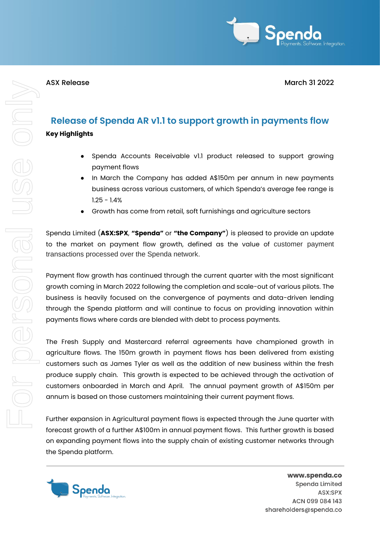

## ASX Release March 31 2022

## **Release of Spenda AR v1.1 to support growth in payments flow Key Highlights**

- Spenda Accounts Receivable v1.1 product released to support growing payment flows
- In March the Company has added A\$150m per annum in new payments business across various customers, of which Spenda's average fee range is 1.25 - 1.4%
- Growth has come from retail, soft furnishings and agriculture sectors

Spenda Limited (**ASX:SPX**, **"Spenda"** or **"the Company"**) is pleased to provide an update to the market on payment flow growth, defined as the value of customer payment transactions processed over the Spenda network.

Payment flow growth has continued through the current quarter with the most significant growth coming in March 2022 following the completion and scale-out of various pilots. The business is heavily focused on the convergence of payments and data-driven lending through the Spenda platform and will continue to focus on providing innovation within payments flows where cards are blended with debt to process payments.

The Fresh Supply and Mastercard referral agreements have championed growth in agriculture flows. The 150m growth in payment flows has been delivered from existing customers such as James Tyler as well as the addition of new business within the fresh produce supply chain. This growth is expected to be achieved through the activation of customers onboarded in March and April. The annual payment growth of A\$150m per annum is based on those customers maintaining their current payment flows.

Further expansion in Agricultural payment flows is expected through the June quarter with forecast growth of a further A\$100m in annual payment flows. This further growth is based on expanding payment flows into the supply chain of existing customer networks through the Spenda platform.



www.spenda.co Spenda Limited ASX:SPX ACN 099 084 143 shareholders@spenda.co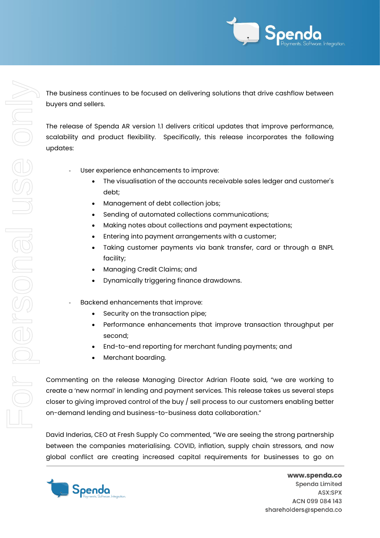

The business continues to be focused on delivering solutions that drive cashflow between buyers and sellers.

The release of Spenda AR version 1.1 delivers critical updates that improve performance, scalability and product flexibility. Specifically, this release incorporates the following updates:

- User experience enhancements to improve:
	- The visualisation of the accounts receivable sales ledger and customer's debt;
	- Management of debt collection jobs;
	- Sending of automated collections communications;
	- Making notes about collections and payment expectations;
	- Entering into payment arrangements with a customer;
	- Taking customer payments via bank transfer, card or through a BNPL facility;
	- Managing Credit Claims; and
	- Dynamically triggering finance drawdowns.
- Backend enhancements that improve:
	- Security on the transaction pipe;
	- Performance enhancements that improve transaction throughput per second;
	- End-to-end reporting for merchant funding payments; and
	- Merchant boarding.

Commenting on the release Managing Director Adrian Floate said, "we are working to create a 'new normal' in lending and payment services. This release takes us several steps closer to giving improved control of the buy / sell process to our customers enabling better on-demand lending and business-to-business data collaboration."

David Inderias, CEO at Fresh Supply Co commented, "We are seeing the strong partnership between the companies materialising. COVID, inflation, supply chain stressors, and now global conflict are creating increased capital requirements for businesses to go on